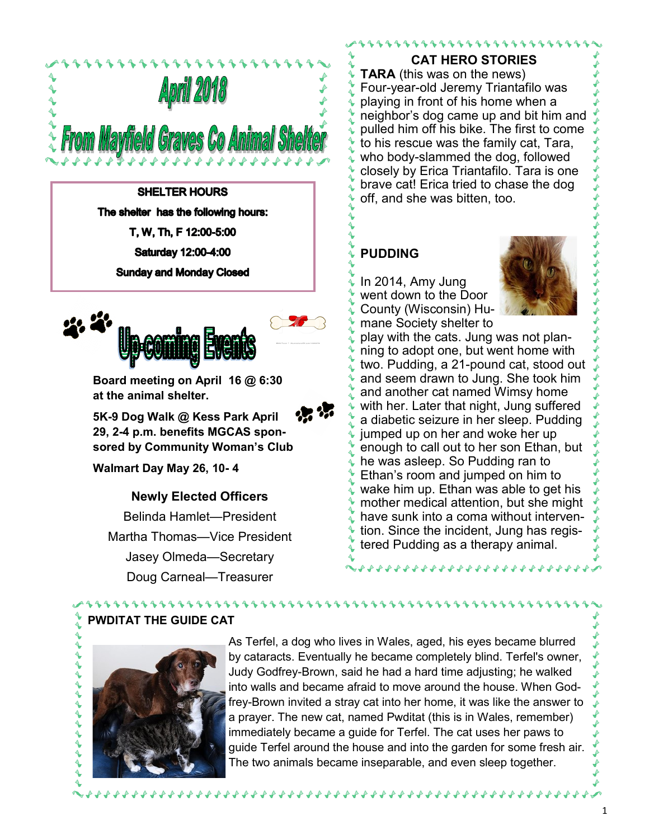

**SHELTER HOURS** The shelter has the following hours: T, W, Th, F 12:00-5:00 Saturday 12:00-4:00 **Sunday and Monday Closed** 



**Board meeting on April 16 @ 6:30 at the animal shelter.**



**5K-9 Dog Walk @ Kess Park April 29, 2-4 p.m. benefits MGCAS sponsored by Community Woman's Club**

**Walmart Day May 26, 10- 4**

**Newly Elected Officers**

Belinda Hamlet—President Martha Thomas—Vice President Jasey Olmeda—Secretary Doug Carneal—Treasurer

11111111111

**CAT HERO STORIES**

1111111111111111

**TARA** (this was on the news) Four-year-old Jeremy Triantafilo was playing in front of his home when a neighbor's dog came up and bit him and pulled him off his bike. The first to come to his rescue was the family cat, Tara, who body-slammed the dog, followed closely by Erica Triantafilo. Tara is one brave cat! Erica tried to chase the dog off, and she was bitten, too.

## **PUDDING**

In 2014, Amy Jung went down to the Door County (Wisconsin) Humane Society shelter to



play with the cats. Jung was not planning to adopt one, but went home with two. Pudding, a 21-pound cat, stood out and seem drawn to Jung. She took him and another cat named Wimsy home with her. Later that night, Jung suffered a diabetic seizure in her sleep. Pudding jumped up on her and woke her up enough to call out to her son Ethan, but he was asleep. So Pudding ran to Ethan's room and jumped on him to wake him up. Ethan was able to get his mother medical attention, but she might have sunk into a coma without intervention. Since the incident, Jung has registered Pudding as a therapy animal.

**222222222222** 

**PWDITAT THE GUIDE CAT**

As Terfel, a dog who lives in Wales, aged, his eyes became blurred by cataracts. Eventually he became completely blind. Terfel's owner, Judy Godfrey-Brown, said he had a hard time adjusting; he walked into walls and became afraid to move around the house. When Godfrey-Brown invited a stray cat into her home, it was like the answer to a prayer. The new cat, named Pwditat (this is in Wales, remember) immediately became a guide for Terfel. The cat uses her paws to guide Terfel around the house and into the garden for some fresh air. The two animals became inseparable, and even sleep together.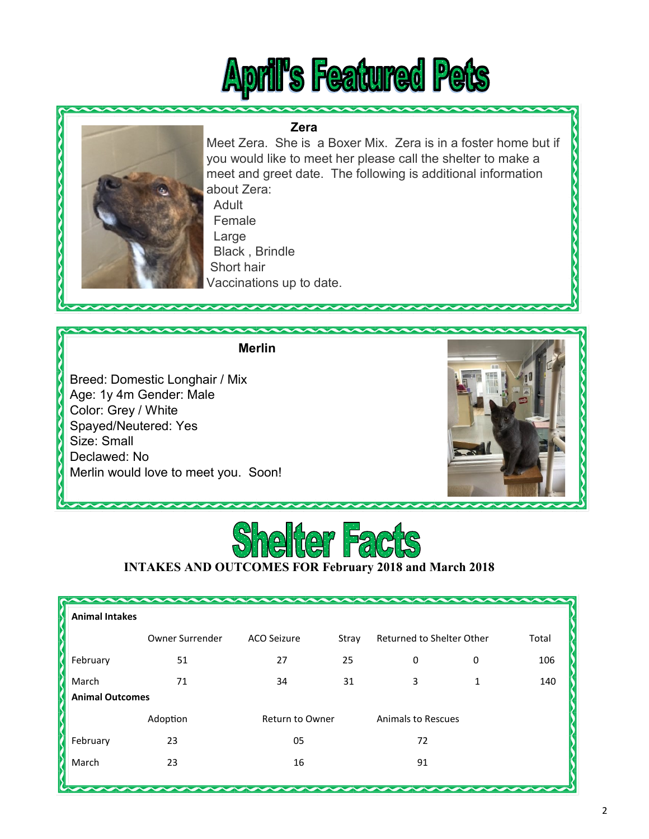# **April's Featured Pets**

#### **Zera**



Meet Zera. She is a Boxer Mix. Zera is in a foster home but if you would like to meet her please call the shelter to make a meet and greet date. The following is additional information about Zera:

 Adult Female Large Black , Brindle Short hair Vaccinations up to date.

#### **Merlin**

Breed: Domestic Longhair / Mix Age: 1y 4m Gender: Male Color: Grey / White Spayed/Neutered: Yes Size: Small Declawed: No Merlin would love to meet you. Soon!





## **INTAKES AND OUTCOMES FOR February 2018 and March 2018**

| <b>Animal Intakes</b>  |                 |                        |       |                           |   |       |
|------------------------|-----------------|------------------------|-------|---------------------------|---|-------|
|                        | Owner Surrender | <b>ACO Seizure</b>     | Stray | Returned to Shelter Other |   | Total |
| February               | 51              | 27                     | 25    | 0                         | 0 | 106   |
| March                  | 71              | 34                     | 31    | 3                         | 1 | 140   |
| <b>Animal Outcomes</b> |                 |                        |       |                           |   |       |
|                        | Adoption        | <b>Return to Owner</b> |       | <b>Animals to Rescues</b> |   |       |
| February               | 23              | 05                     |       | 72                        |   |       |
| March                  | 23              | 16                     |       | 91                        |   |       |
|                        |                 |                        |       |                           |   |       |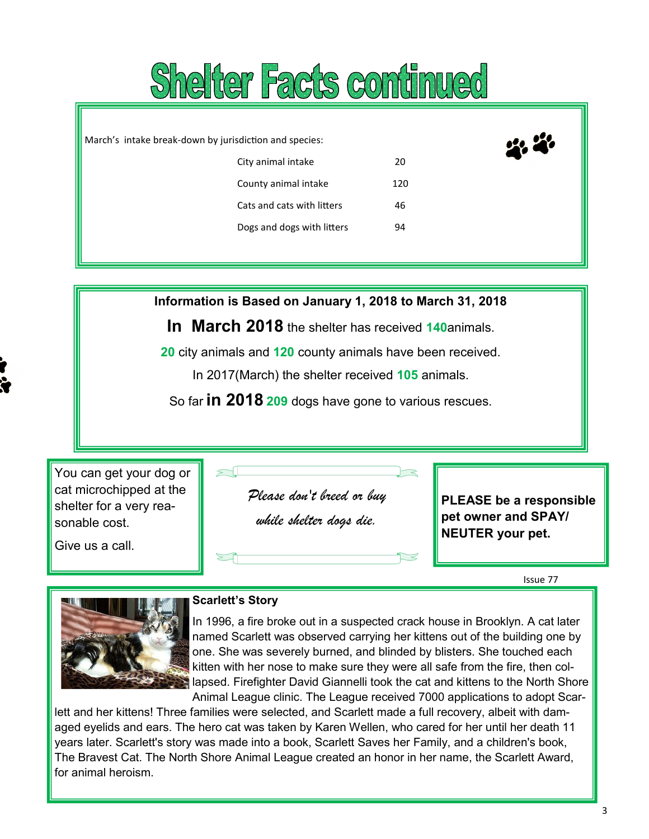

March's intake break-down by jurisdiction and species: City animal intake 20 County animal intake 120 Cats and cats with litters 46 Dogs and dogs with litters 94

**Information is Based on January 1, 2018 to March 31, 2018**

**In March 2018** the shelter has received **140**animals.

**20** city animals and **120** county animals have been received.

In 2017(March) the shelter received **105** animals.

So far **in 2018 209** dogs have gone to various rescues.

You can get your dog or cat microchipped at the shelter for a very reasonable cost.

Give us a call.

*Please don't breed or buy* 

*while shelter dogs die.* 

**PLEASE be a responsible pet owner and SPAY/ NEUTER your pet.**

Issue 77



#### **Scarlett's Story**

In 1996, a fire broke out in a suspected crack house in Brooklyn. A cat later named Scarlett was observed carrying her kittens out of the building one by one. She was severely burned, and blinded by blisters. She touched each kitten with her nose to make sure they were all safe from the fire, then collapsed. Firefighter David Giannelli took the cat and kittens to the North Shore Animal League clinic. The League received 7000 applications to adopt Scar-

lett and her kittens! Three families were selected, and Scarlett made a full recovery, albeit with damaged eyelids and ears. The hero cat was taken by Karen Wellen, who cared for her until her death 11 years later. Scarlett's story was made into a book, Scarlett Saves her Family, and a children's book, The Bravest Cat. The North Shore Animal League created an honor in her name, the Scarlett Award, for animal heroism.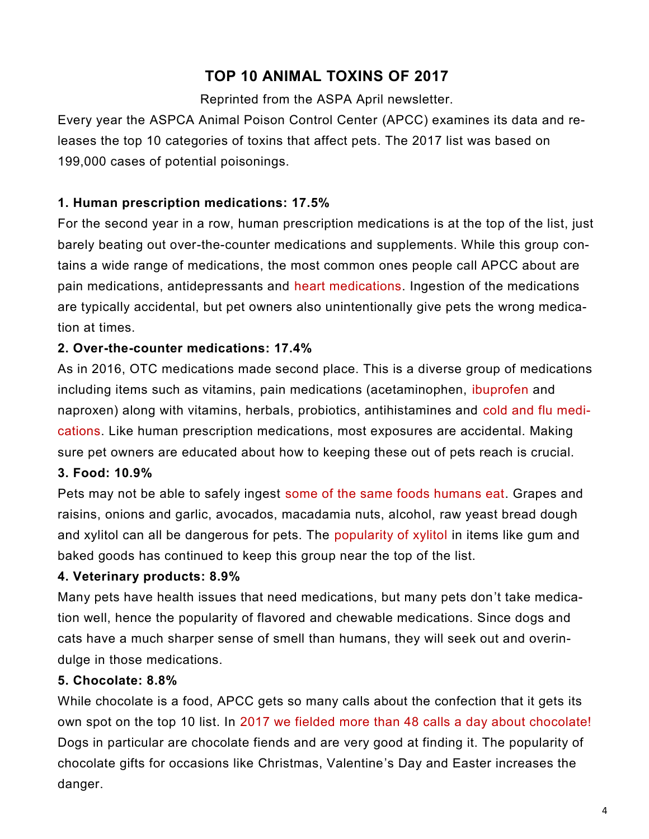## **TOP 10 ANIMAL TOXINS OF 2017**

Reprinted from the ASPA April newsletter.

Every year the ASPCA Animal Poison Control Center (APCC) examines its data and releases the top 10 categories of toxins that affect pets. The 2017 list was based on 199,000 cases of potential poisonings.

## **1. Human prescription medications: 17.5%**

For the second year in a row, human prescription medications is at the top of the list, just barely beating out over-the-counter medications and supplements. While this group contains a wide range of medications, the most common ones people call APCC about are pain medications, antidepressants and heart medications. Ingestion of the medications are typically accidental, but pet owners also unintentionally give pets the wrong medication at times.

## **2. Over-the-counter medications: 17.4%**

And the winner is...SOUTHERN REDS As in 2016, OTC medications made second place. This is a diverse group of medications including items such as vitamins, pain medications (acetaminophen, ibuprofen and naproxen) along with vitamins, herbals, probiotics, antihistamines and cold and flu medications. Like human prescription medications, most exposures are accidental. Making sure pet owners are educated about how to keeping these out of pets reach is crucial.

## **3. Food: 10.9%**

Pets may not be able to safely ingest some of the same foods humans eat. Grapes and raisins, onions and garlic, avocados, macadamia nuts, alcohol, raw yeast bread dough and xylitol can all be dangerous for pets. The popularity of xylitol in items like gum and baked goods has continued to keep this group near the top of the list.

## **4. Veterinary products: 8.9%**

Many pets have health issues that need medications, but many pets don't take medication well, hence the popularity of flavored and chewable medications. Since dogs and cats have a much sharper sense of smell than humans, they will seek out and overindulge in those medications.

## **5. Chocolate: 8.8%**

While chocolate is a food, APCC gets so many calls about the confection that it gets its own spot on the top 10 list. In 2017 we fielded more than 48 calls a day about chocolate! Dogs in particular are chocolate fiends and are very good at finding it. The popularity of chocolate gifts for occasions like Christmas, Valentine's Day and Easter increases the danger.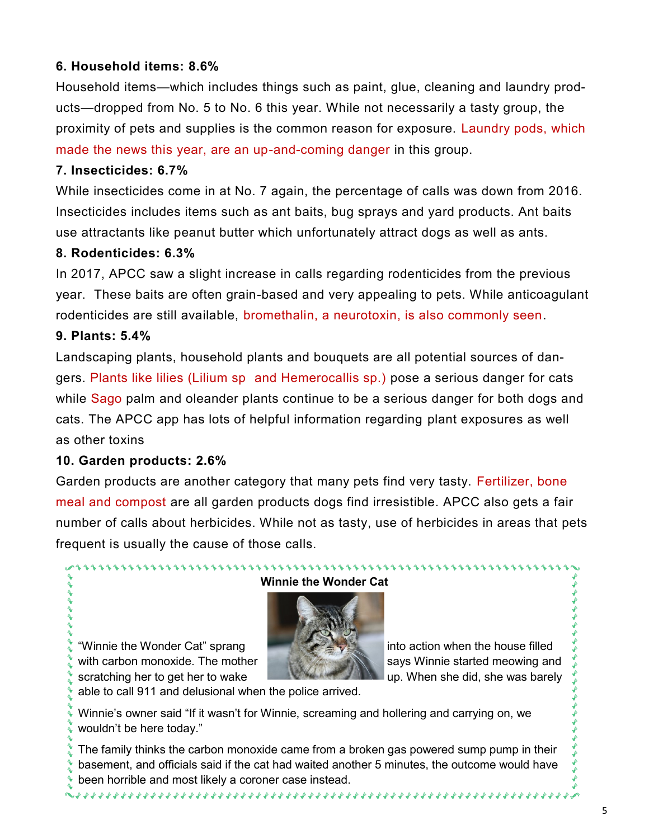## **6. Household items: 8.6%**

Household items—which includes things such as paint, glue, cleaning and laundry products—dropped from No. 5 to No. 6 this year. While not necessarily a tasty group, the proximity of pets and supplies is the common reason for exposure. Laundry pods, which made the news this year, are an up-and-coming danger in this group.

## **7. Insecticides: 6.7%**

While insecticides come in at No. 7 again, the percentage of calls was down from 2016. Insecticides includes items such as ant baits, bug sprays and yard products. Ant baits use attractants like peanut butter which unfortunately attract dogs as well as ants.

#### **8. Rodenticides: 6.3%**

In 2017, APCC saw a slight increase in calls regarding rodenticides from the previous year. These baits are often grain-based and very appealing to pets. While anticoagulant rodenticides are still available, bromethalin, a neurotoxin, is also commonly seen.

## **9. Plants: 5.4%**

Landscaping plants, household plants and bouquets are all potential sources of dangers. Plants like lilies (Lilium sp and Hemerocallis sp.) pose a serious danger for cats while Sago palm and oleander plants continue to be a serious danger for both dogs and cats. The APCC app has lots of helpful information regarding plant exposures as well as other toxins

#### **10. Garden products: 2.6%**

Garden products are another category that many pets find very tasty. Fertilizer, bone meal and compost are all garden products dogs find irresistible. APCC also gets a fair number of calls about herbicides. While not as tasty, use of herbicides in areas that pets frequent is usually the cause of those calls.

#### **Winnie the Wonder Cat**



"Winnie the Wonder Cat" sprang into action when the house filled with carbon monoxide. The mother started meowing and says Winnie started meowing and scratching her to get her to wake up. When she did, she was barely

able to call 911 and delusional when the police arrived.

Winnie's owner said "If it wasn't for Winnie, screaming and hollering and carrying on, we wouldn't be here today."

The family thinks the carbon monoxide came from a broken gas powered sump pump in their basement, and officials said if the cat had waited another 5 minutes, the outcome would have been horrible and most likely a coroner case instead.